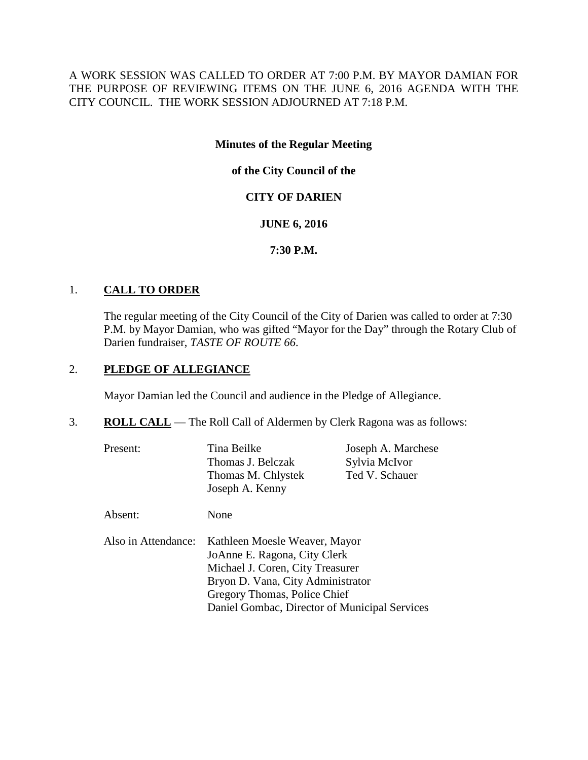A WORK SESSION WAS CALLED TO ORDER AT 7:00 P.M. BY MAYOR DAMIAN FOR THE PURPOSE OF REVIEWING ITEMS ON THE JUNE 6, 2016 AGENDA WITH THE CITY COUNCIL. THE WORK SESSION ADJOURNED AT 7:18 P.M.

# **Minutes of the Regular Meeting**

# **of the City Council of the**

# **CITY OF DARIEN**

# **JUNE 6, 2016**

# **7:30 P.M.**

# 1. **CALL TO ORDER**

The regular meeting of the City Council of the City of Darien was called to order at 7:30 P.M. by Mayor Damian, who was gifted "Mayor for the Day" through the Rotary Club of Darien fundraiser, *TASTE OF ROUTE 66*.

Daniel Gombac, Director of Municipal Services

# 2. **PLEDGE OF ALLEGIANCE**

Mayor Damian led the Council and audience in the Pledge of Allegiance.

## 3. **ROLL CALL** — The Roll Call of Aldermen by Clerk Ragona was as follows:

| Present:            | Tina Beilke<br>Thomas J. Belczak<br>Thomas M. Chlystek<br>Joseph A. Kenny                                                                                              | Joseph A. Marchese<br>Sylvia McIvor<br>Ted V. Schauer |  |
|---------------------|------------------------------------------------------------------------------------------------------------------------------------------------------------------------|-------------------------------------------------------|--|
| Absent:             | None                                                                                                                                                                   |                                                       |  |
| Also in Attendance: | Kathleen Moesle Weaver, Mayor<br>JoAnne E. Ragona, City Clerk<br>Michael J. Coren, City Treasurer<br>Bryon D. Vana, City Administrator<br>Gregory Thomas, Police Chief |                                                       |  |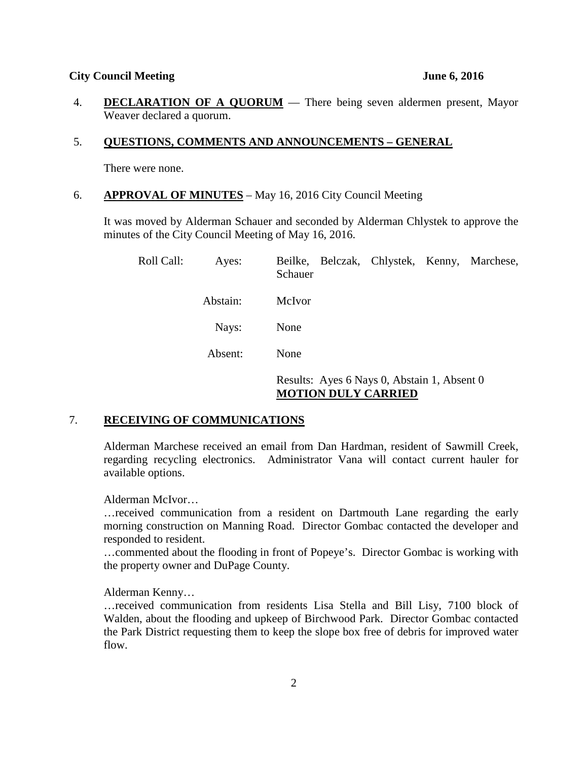4. **DECLARATION OF A QUORUM** — There being seven aldermen present, Mayor Weaver declared a quorum.

### 5. **QUESTIONS, COMMENTS AND ANNOUNCEMENTS – GENERAL**

There were none.

6. **APPROVAL OF MINUTES** – May 16, 2016 City Council Meeting

It was moved by Alderman Schauer and seconded by Alderman Chlystek to approve the minutes of the City Council Meeting of May 16, 2016.

| Roll Call: | Ayes:    | Beilke, Belczak, Chlystek, Kenny, Marchese,<br>Schauer                    |  |  |
|------------|----------|---------------------------------------------------------------------------|--|--|
|            | Abstain: | McIvor                                                                    |  |  |
|            | Nays:    | None                                                                      |  |  |
|            | Absent:  | None                                                                      |  |  |
|            |          | Results: Ayes 6 Nays 0, Abstain 1, Absent 0<br><b>MOTION DULY CARRIED</b> |  |  |

# 7. **RECEIVING OF COMMUNICATIONS**

Alderman Marchese received an email from Dan Hardman, resident of Sawmill Creek, regarding recycling electronics. Administrator Vana will contact current hauler for available options.

Alderman McIvor…

…received communication from a resident on Dartmouth Lane regarding the early morning construction on Manning Road. Director Gombac contacted the developer and responded to resident.

…commented about the flooding in front of Popeye's. Director Gombac is working with the property owner and DuPage County.

Alderman Kenny…

…received communication from residents Lisa Stella and Bill Lisy, 7100 block of Walden, about the flooding and upkeep of Birchwood Park. Director Gombac contacted the Park District requesting them to keep the slope box free of debris for improved water flow.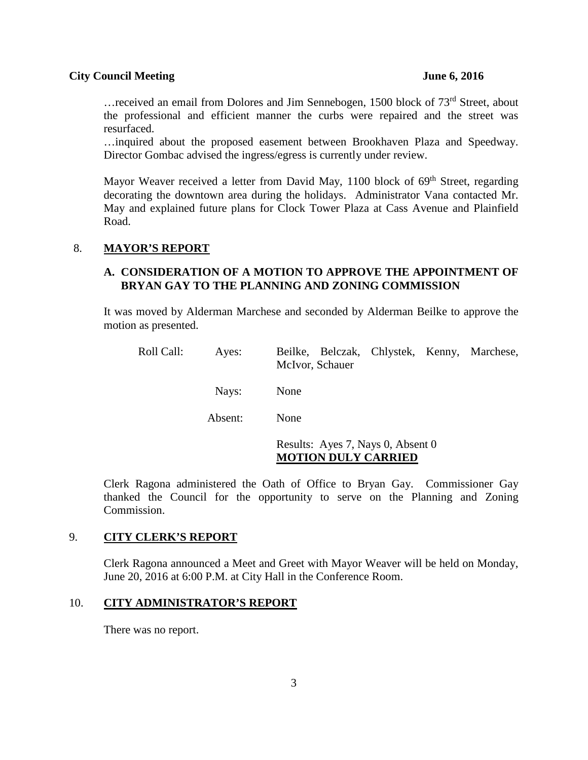... received an email from Dolores and Jim Sennebogen, 1500 block of 73<sup>rd</sup> Street, about the professional and efficient manner the curbs were repaired and the street was resurfaced.

…inquired about the proposed easement between Brookhaven Plaza and Speedway. Director Gombac advised the ingress/egress is currently under review.

Mayor Weaver received a letter from David May, 1100 block of 69<sup>th</sup> Street, regarding decorating the downtown area during the holidays. Administrator Vana contacted Mr. May and explained future plans for Clock Tower Plaza at Cass Avenue and Plainfield Road.

## 8. **MAYOR'S REPORT**

## **A. CONSIDERATION OF A MOTION TO APPROVE THE APPOINTMENT OF BRYAN GAY TO THE PLANNING AND ZONING COMMISSION**

It was moved by Alderman Marchese and seconded by Alderman Beilke to approve the motion as presented.

| Roll Call: | Ayes:   | Beilke, Belczak, Chlystek, Kenny, Marchese,<br>McIvor, Schauer  |
|------------|---------|-----------------------------------------------------------------|
|            | Nays:   | None                                                            |
|            | Absent: | None                                                            |
|            |         | Results: Ayes 7, Nays 0, Absent 0<br><b>MOTION DULY CARRIED</b> |

Clerk Ragona administered the Oath of Office to Bryan Gay. Commissioner Gay thanked the Council for the opportunity to serve on the Planning and Zoning Commission.

### 9. **CITY CLERK'S REPORT**

Clerk Ragona announced a Meet and Greet with Mayor Weaver will be held on Monday, June 20, 2016 at 6:00 P.M. at City Hall in the Conference Room.

### 10. **CITY ADMINISTRATOR'S REPORT**

There was no report.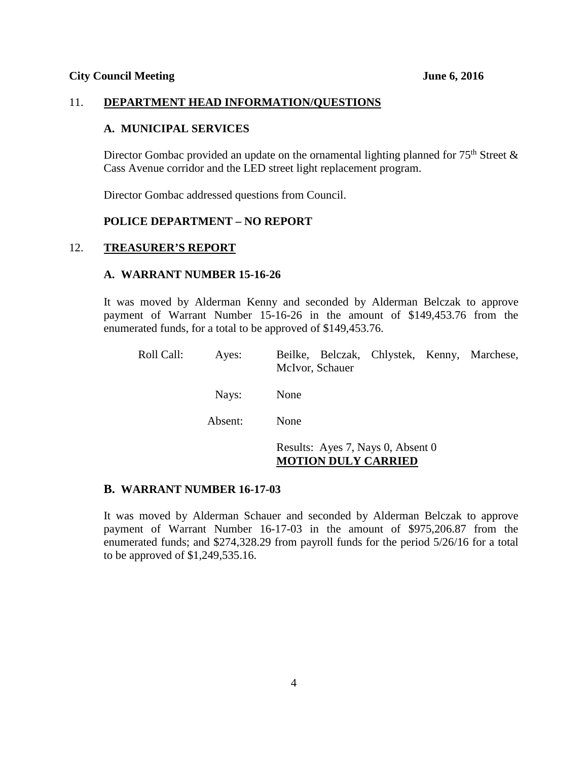## 11. **DEPARTMENT HEAD INFORMATION/QUESTIONS**

## **A. MUNICIPAL SERVICES**

Director Gombac provided an update on the ornamental lighting planned for  $75<sup>th</sup>$  Street & Cass Avenue corridor and the LED street light replacement program.

Director Gombac addressed questions from Council.

## **POLICE DEPARTMENT – NO REPORT**

## 12. **TREASURER'S REPORT**

## **A. WARRANT NUMBER 15-16-26**

It was moved by Alderman Kenny and seconded by Alderman Belczak to approve payment of Warrant Number 15-16-26 in the amount of \$149,453.76 from the enumerated funds, for a total to be approved of \$149,453.76.

| Roll Call: | Ayes:   | Beilke, Belczak, Chlystek, Kenny, Marchese,<br>McIvor, Schauer  |
|------------|---------|-----------------------------------------------------------------|
|            | Nays:   | None                                                            |
|            | Absent: | None                                                            |
|            |         | Results: Ayes 7, Nays 0, Absent 0<br><b>MOTION DULY CARRIED</b> |

### **B. WARRANT NUMBER 16-17-03**

It was moved by Alderman Schauer and seconded by Alderman Belczak to approve payment of Warrant Number 16-17-03 in the amount of \$975,206.87 from the enumerated funds; and \$274,328.29 from payroll funds for the period 5/26/16 for a total to be approved of \$1,249,535.16.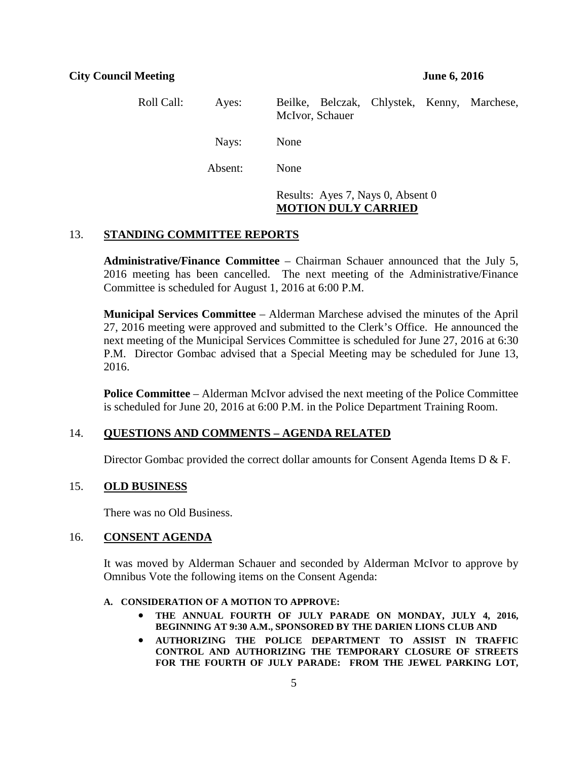| Roll Call: | Ayes:   | Beilke, Belczak, Chlystek, Kenny, Marchese,<br>McIvor, Schauer |
|------------|---------|----------------------------------------------------------------|
|            | Nays:   | None                                                           |
|            | Absent: | None                                                           |
|            |         | Results: Ayes 7, Nays 0, Absent 0                              |

## **MOTION DULY CARRIED**

## 13. **STANDING COMMITTEE REPORTS**

**Administrative/Finance Committee** – Chairman Schauer announced that the July 5, 2016 meeting has been cancelled. The next meeting of the Administrative/Finance Committee is scheduled for August 1, 2016 at 6:00 P.M.

**Municipal Services Committee** – Alderman Marchese advised the minutes of the April 27, 2016 meeting were approved and submitted to the Clerk's Office. He announced the next meeting of the Municipal Services Committee is scheduled for June 27, 2016 at 6:30 P.M. Director Gombac advised that a Special Meeting may be scheduled for June 13, 2016.

**Police Committee** – Alderman McIvor advised the next meeting of the Police Committee is scheduled for June 20, 2016 at 6:00 P.M. in the Police Department Training Room.

## 14. **QUESTIONS AND COMMENTS – AGENDA RELATED**

Director Gombac provided the correct dollar amounts for Consent Agenda Items D & F.

## 15. **OLD BUSINESS**

There was no Old Business.

## 16. **CONSENT AGENDA**

It was moved by Alderman Schauer and seconded by Alderman McIvor to approve by Omnibus Vote the following items on the Consent Agenda:

#### **A. CONSIDERATION OF A MOTION TO APPROVE:**

- **THE ANNUAL FOURTH OF JULY PARADE ON MONDAY, JULY 4, 2016, BEGINNING AT 9:30 A.M., SPONSORED BY THE DARIEN LIONS CLUB AND**
- **AUTHORIZING THE POLICE DEPARTMENT TO ASSIST IN TRAFFIC CONTROL AND AUTHORIZING THE TEMPORARY CLOSURE OF STREETS FOR THE FOURTH OF JULY PARADE: FROM THE JEWEL PARKING LOT,**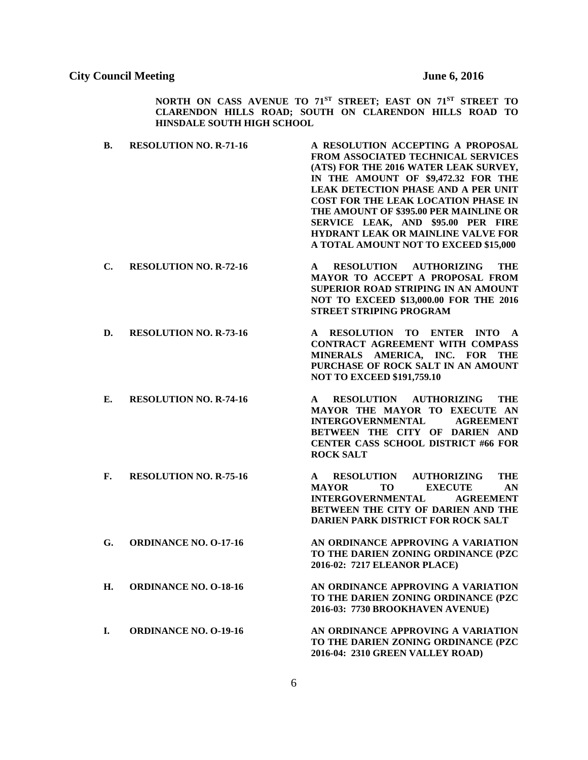**NORTH ON CASS AVENUE TO 71ST STREET; EAST ON 71ST STREET TO CLARENDON HILLS ROAD; SOUTH ON CLARENDON HILLS ROAD TO HINSDALE SOUTH HIGH SCHOOL**

- **B. RESOLUTION NO. R-71-16 A RESOLUTION ACCEPTING A PROPOSAL FROM ASSOCIATED TECHNICAL SERVICES (ATS) FOR THE 2016 WATER LEAK SURVEY, IN THE AMOUNT OF \$9,472.32 FOR THE LEAK DETECTION PHASE AND A PER UNIT COST FOR THE LEAK LOCATION PHASE IN THE AMOUNT OF \$395.00 PER MAINLINE OR SERVICE LEAK, AND \$95.00 PER FIRE HYDRANT LEAK OR MAINLINE VALVE FOR A TOTAL AMOUNT NOT TO EXCEED \$15,000**
- **C. RESOLUTION NO. R-72-16 A RESOLUTION AUTHORIZING THE MAYOR TO ACCEPT A PROPOSAL FROM SUPERIOR ROAD STRIPING IN AN AMOUNT NOT TO EXCEED \$13,000.00 FOR THE 2016 STREET STRIPING PROGRAM**
- **D. RESOLUTION NO. R-73-16 A RESOLUTION TO ENTER INTO A CONTRACT AGREEMENT WITH COMPASS MINERALS AMERICA, INC. FOR THE PURCHASE OF ROCK SALT IN AN AMOUNT NOT TO EXCEED \$191,759.10**
- **E. RESOLUTION NO. R-74-16 A RESOLUTION AUTHORIZING THE MAYOR THE MAYOR TO EXECUTE AN INTERGOVERNMENTAL AGREEMENT BETWEEN THE CITY OF DARIEN AND CENTER CASS SCHOOL DISTRICT #66 FOR ROCK SALT**
- **F. RESOLUTION NO. R-75-16 A RESOLUTION AUTHORIZING THE MAYOR TO EXECUTE AN INTERGOVERNMENTAL AGREEMENT BETWEEN THE CITY OF DARIEN AND THE DARIEN PARK DISTRICT FOR ROCK SALT**
- **G. ORDINANCE NO. O-17-16 AN ORDINANCE APPROVING A VARIATION TO THE DARIEN ZONING ORDINANCE (PZC**
- **H. ORDINANCE NO. O-18-16 AN ORDINANCE APPROVING A VARIATION TO THE DARIEN ZONING ORDINANCE (PZC**
- 

**I. ORDINANCE NO. O-19-16 AN ORDINANCE APPROVING A VARIATION TO THE DARIEN ZONING ORDINANCE (PZC 2016-04: 2310 GREEN VALLEY ROAD)**

**2016-03: 7730 BROOKHAVEN AVENUE)**

**2016-02: 7217 ELEANOR PLACE)**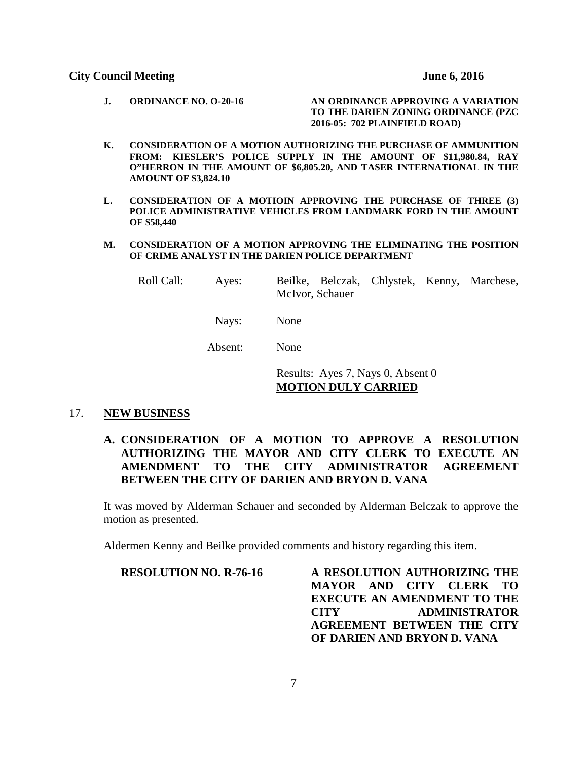- **J. ORDINANCE NO. O-20-16 AN ORDINANCE APPROVING A VARIATION TO THE DARIEN ZONING ORDINANCE (PZC 2016-05: 702 PLAINFIELD ROAD)**
- **K. CONSIDERATION OF A MOTION AUTHORIZING THE PURCHASE OF AMMUNITION FROM: KIESLER'S POLICE SUPPLY IN THE AMOUNT OF \$11,980.84, RAY O"HERRON IN THE AMOUNT OF \$6,805.20, AND TASER INTERNATIONAL IN THE AMOUNT OF \$3,824.10**
- **L. CONSIDERATION OF A MOTIOIN APPROVING THE PURCHASE OF THREE (3) POLICE ADMINISTRATIVE VEHICLES FROM LANDMARK FORD IN THE AMOUNT OF \$58,440**
- **M. CONSIDERATION OF A MOTION APPROVING THE ELIMINATING THE POSITION OF CRIME ANALYST IN THE DARIEN POLICE DEPARTMENT**

| Roll Call: | Ayes: |                 | Beilke, Belczak, Chlystek, Kenny, Marchese, |  |
|------------|-------|-----------------|---------------------------------------------|--|
|            |       | McIvor, Schauer |                                             |  |

- Nays: None
- Absent: None

Results: Ayes 7, Nays 0, Absent 0 **MOTION DULY CARRIED**

#### 17. **NEW BUSINESS**

# **A. CONSIDERATION OF A MOTION TO APPROVE A RESOLUTION AUTHORIZING THE MAYOR AND CITY CLERK TO EXECUTE AN AMENDMENT TO THE CITY ADMINISTRATOR AGREEMENT BETWEEN THE CITY OF DARIEN AND BRYON D. VANA**

It was moved by Alderman Schauer and seconded by Alderman Belczak to approve the motion as presented.

Aldermen Kenny and Beilke provided comments and history regarding this item.

**RESOLUTION NO. R-76-16 A RESOLUTION AUTHORIZING THE MAYOR AND CITY CLERK TO EXECUTE AN AMENDMENT TO THE CITY ADMINISTRATOR AGREEMENT BETWEEN THE CITY OF DARIEN AND BRYON D. VANA**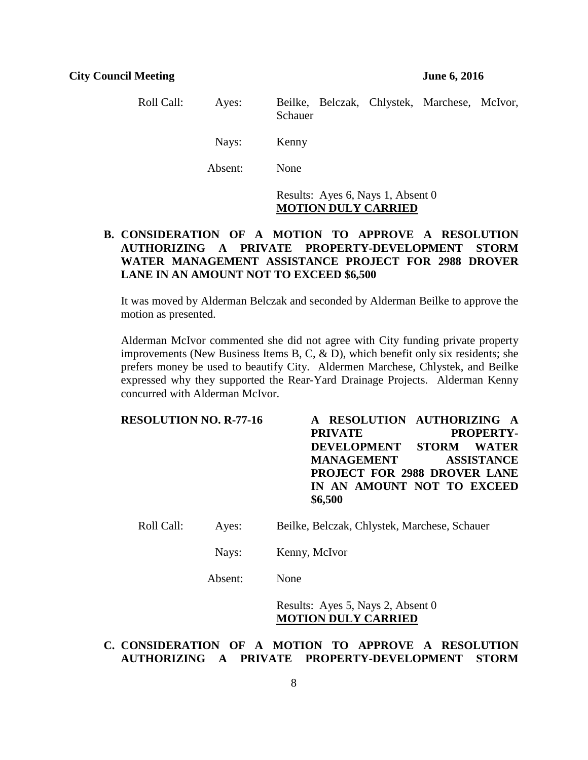| Roll Call: | Ayes:   | Beilke, Belczak, Chlystek, Marchese, McIvor,<br>Schauer         |
|------------|---------|-----------------------------------------------------------------|
|            | Nays:   | Kenny                                                           |
|            | Absent: | None                                                            |
|            |         | Results: Ayes 6, Nays 1, Absent 0<br><b>MOTION DULY CARRIED</b> |

# **B. CONSIDERATION OF A MOTION TO APPROVE A RESOLUTION AUTHORIZING A PRIVATE PROPERTY-DEVELOPMENT STORM WATER MANAGEMENT ASSISTANCE PROJECT FOR 2988 DROVER LANE IN AN AMOUNT NOT TO EXCEED \$6,500**

It was moved by Alderman Belczak and seconded by Alderman Beilke to approve the motion as presented.

Alderman McIvor commented she did not agree with City funding private property improvements (New Business Items B, C, & D), which benefit only six residents; she prefers money be used to beautify City. Aldermen Marchese, Chlystek, and Beilke expressed why they supported the Rear-Yard Drainage Projects. Alderman Kenny concurred with Alderman McIvor.

| <b>RESOLUTION NO. R-77-16</b> |                | A RESOLUTION AUTHORIZING A          |
|-------------------------------|----------------|-------------------------------------|
|                               | <b>PRIVATE</b> | <b>PROPERTY-</b>                    |
|                               |                | DEVELOPMENT STORM WATER             |
|                               | MANAGEMENT     | <b>ASSISTANCE</b>                   |
|                               |                | <b>PROJECT FOR 2988 DROVER LANE</b> |
|                               |                | IN AN AMOUNT NOT TO EXCEED          |
|                               | \$6,500        |                                     |
|                               |                |                                     |

- Roll Call: Ayes: Beilke, Belczak, Chlystek, Marchese, Schauer
	- Nays: Kenny, McIvor
	- Absent: None

Results: Ayes 5, Nays 2, Absent 0 **MOTION DULY CARRIED**

## **C. CONSIDERATION OF A MOTION TO APPROVE A RESOLUTION AUTHORIZING A PRIVATE PROPERTY-DEVELOPMENT STORM**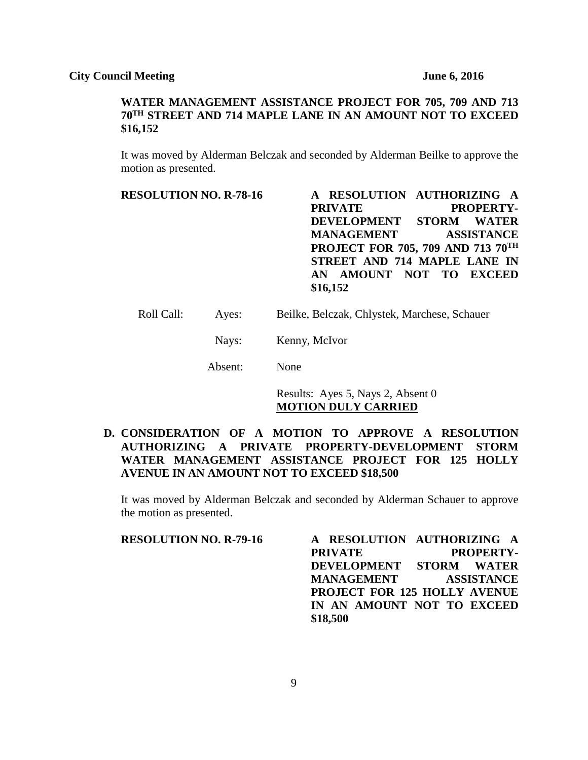# **WATER MANAGEMENT ASSISTANCE PROJECT FOR 705, 709 AND 713 70TH STREET AND 714 MAPLE LANE IN AN AMOUNT NOT TO EXCEED \$16,152**

It was moved by Alderman Belczak and seconded by Alderman Beilke to approve the motion as presented.

**RESOLUTION NO. R-78-16 A RESOLUTION AUTHORIZING A**  PRIVATE PROPERTY-<br>DEVELOPMENT STORM WATER **DEVELOPMENT STORM WATER MANAGEMENT ASSISTANCE PROJECT FOR 705, 709 AND 713 70TH STREET AND 714 MAPLE LANE IN AN AMOUNT NOT TO EXCEED \$16,152**

- Roll Call: Ayes: Beilke, Belczak, Chlystek, Marchese, Schauer
	- Nays: Kenny, McIvor

Absent: None

Results: Ayes 5, Nays 2, Absent 0 **MOTION DULY CARRIED**

# **D. CONSIDERATION OF A MOTION TO APPROVE A RESOLUTION AUTHORIZING A PRIVATE PROPERTY-DEVELOPMENT STORM WATER MANAGEMENT ASSISTANCE PROJECT FOR 125 HOLLY AVENUE IN AN AMOUNT NOT TO EXCEED \$18,500**

It was moved by Alderman Belczak and seconded by Alderman Schauer to approve the motion as presented.

**RESOLUTION NO. R-79-16 A RESOLUTION AUTHORIZING A**  PRIVATE PROPERTY-**DEVELOPMENT STORM WATER MANAGEMENT ASSISTANCE PROJECT FOR 125 HOLLY AVENUE IN AN AMOUNT NOT TO EXCEED \$18,500**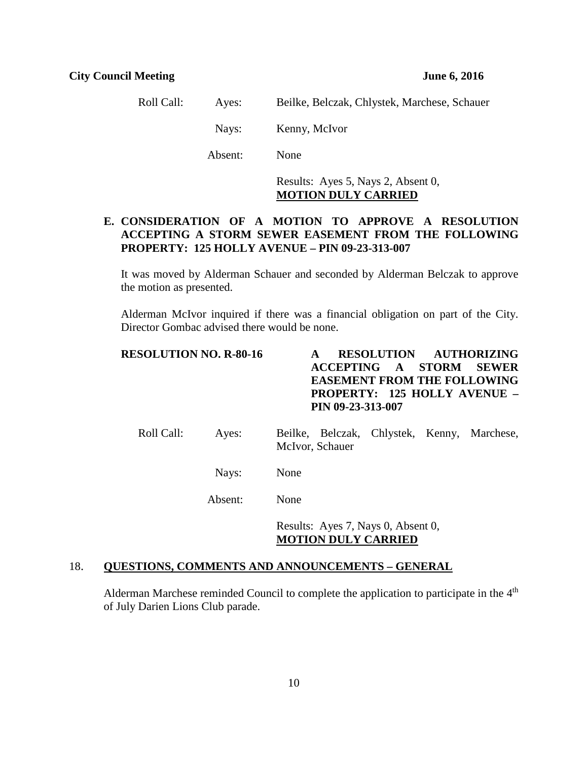| Roll Call: | Aves:   | Beilke, Belczak, Chlystek, Marchese, Schauer |
|------------|---------|----------------------------------------------|
|            | Navs:   | Kenny, McIvor                                |
|            | Absent: | <b>None</b>                                  |

Results: Ayes 5, Nays 2, Absent 0, **MOTION DULY CARRIED**

# **E. CONSIDERATION OF A MOTION TO APPROVE A RESOLUTION ACCEPTING A STORM SEWER EASEMENT FROM THE FOLLOWING PROPERTY: 125 HOLLY AVENUE – PIN 09-23-313-007**

It was moved by Alderman Schauer and seconded by Alderman Belczak to approve the motion as presented.

Alderman McIvor inquired if there was a financial obligation on part of the City. Director Gombac advised there would be none.

| <b>RESOLUTION NO. R-80-16</b> | A RESOLUTION AUTHORIZING            |
|-------------------------------|-------------------------------------|
|                               | <b>ACCEPTING A STORM SEWER</b>      |
|                               | <b>EASEMENT FROM THE FOLLOWING</b>  |
|                               | <b>PROPERTY: 125 HOLLY AVENUE –</b> |
|                               | PIN 09-23-313-007                   |
|                               |                                     |

| Roll Call: | Ayes: | Beilke, Belczak, Chlystek, Kenny, Marchese, |  |  |
|------------|-------|---------------------------------------------|--|--|
|            |       | McIvor, Schauer                             |  |  |

Nays: None

Absent: None

Results: Ayes 7, Nays 0, Absent 0, **MOTION DULY CARRIED**

## 18. **QUESTIONS, COMMENTS AND ANNOUNCEMENTS – GENERAL**

Alderman Marchese reminded Council to complete the application to participate in the  $4<sup>th</sup>$ of July Darien Lions Club parade.